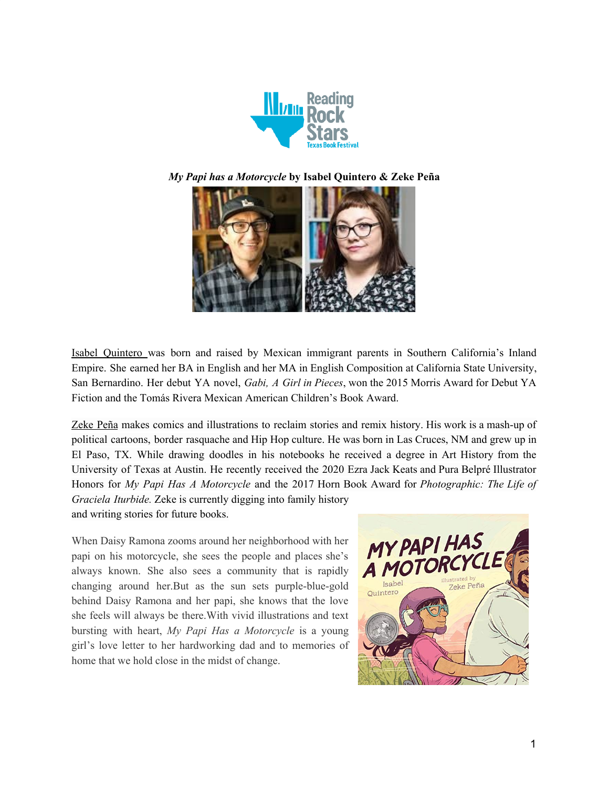





Isabel Quintero was born and raised by Mexican immigrant parents in Southern California's Inland Empire. She earned her BA in English and her MA in English Composition at California State University, San Bernardino. Her debut YA novel, *Gabi, A Girl in Pieces*, won the 2015 Morris Award for Debut YA Fiction and the Tomás Rivera Mexican American Children's Book Award.

Zeke Peña makes comics and illustrations to reclaim stories and remix history. His work is a mash-up of political cartoons, border rasquache and Hip Hop culture. He was born in Las Cruces, NM and grew up in El Paso, TX. While drawing doodles in his notebooks he received a degree in Art History from the University of Texas at Austin. He recently received the 2020 Ezra Jack Keats and Pura Belpré Illustrator Honors for *My Papi Has A Motorcycle* and the 2017 Horn Book Award for *Photographic: The Life of Graciela Iturbide.* Zeke is currently digging into family history and writing stories for future books.

When Daisy Ramona zooms around her neighborhood with her papi on his motorcycle, she sees the people and places she's always known. She also sees a community that is rapidly changing around her.But as the sun sets purple-blue-gold behind Daisy Ramona and her papi, she knows that the love she feels will always be there.With vivid illustrations and text bursting with heart, *My Papi Has a Motorcycle* is a young girl's love letter to her hardworking dad and to memories of home that we hold close in the midst of change.

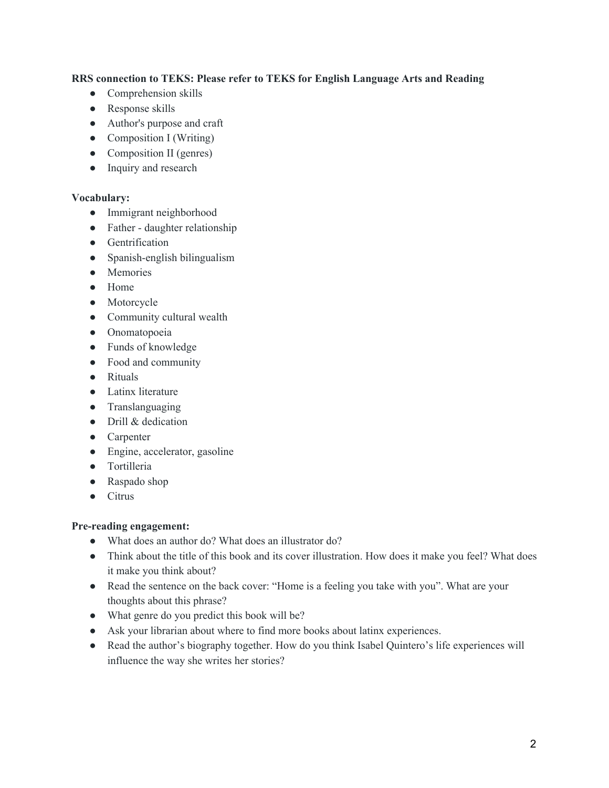# **RRS connection to TEKS: Please refer to TEKS for English Language Arts and Reading**

- Comprehension skills
- Response skills
- Author's purpose and craft
- $\bullet$  Composition I (Writing)
- Composition II (genres)
- Inquiry and research

#### **Vocabulary:**

- Immigrant neighborhood
- Father daughter relationship
- Gentrification
- Spanish-english bilingualism
- Memories
- Home
- Motorcycle
- Community cultural wealth
- Onomatopoeia
- Funds of knowledge
- Food and community
- Rituals
- Latinx literature
- Translanguaging
- Drill & dedication
- Carpenter
- Engine, accelerator, gasoline
- Tortilleria
- Raspado shop
- Citrus

### **Pre-reading engagement:**

- What does an author do? What does an illustrator do?
- Think about the title of this book and its cover illustration. How does it make you feel? What does it make you think about?
- Read the sentence on the back cover: "Home is a feeling you take with you". What are your thoughts about this phrase?
- What genre do you predict this book will be?
- Ask your librarian about where to find more books about latinx experiences.
- Read the author's biography together. How do you think Isabel Quintero's life experiences will influence the way she writes her stories?